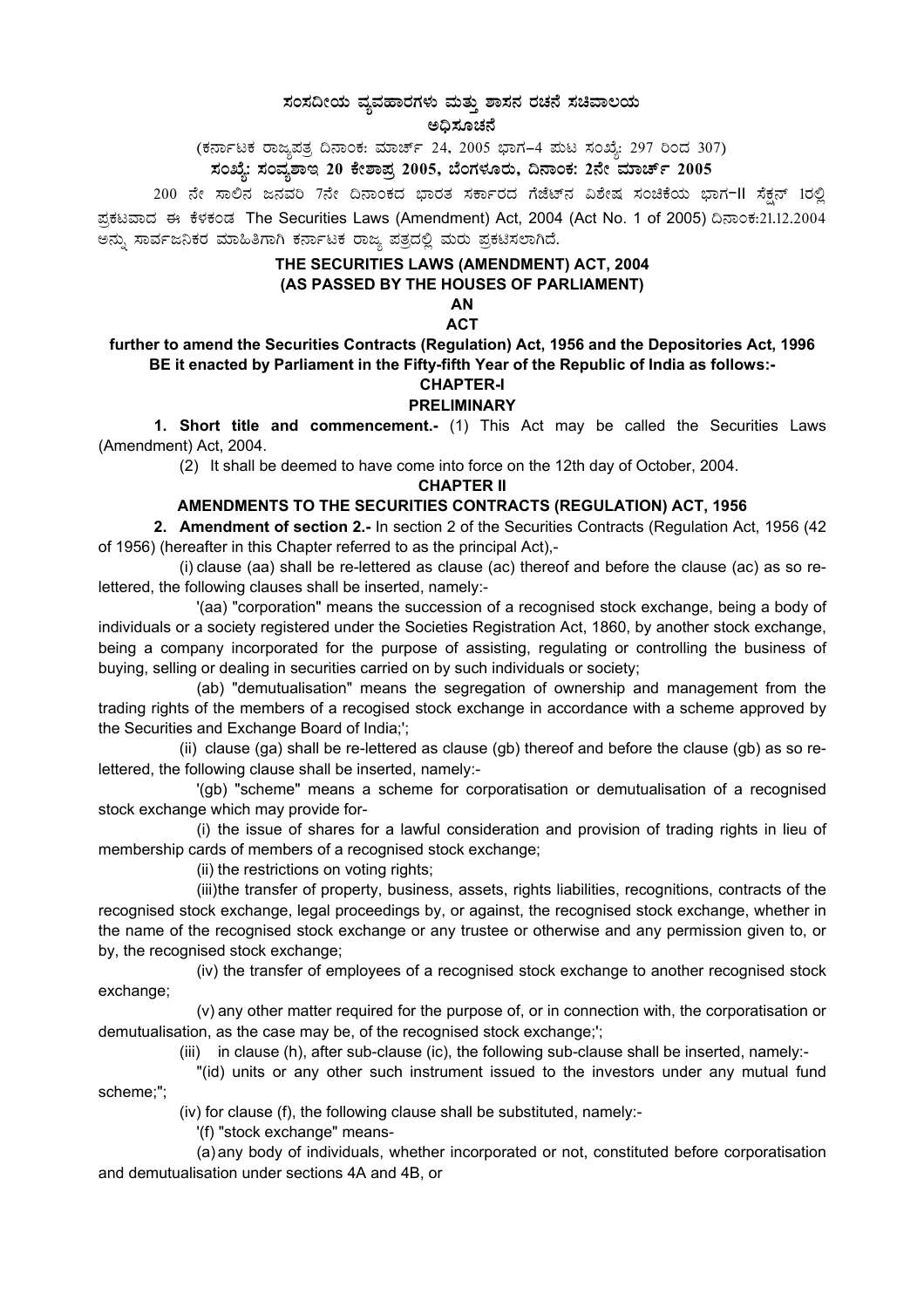# $\vec{a}$ ಸಂಸದೀಯ ವ್ಯವಹಾರಗಳು ಮತ್ತು ಶಾಸನ ರಚನೆ ಸಚಿವಾಲಯ<br>ಮೂವಿ ಮತ್ತು

## ಅಧಿಸೂಚನೆ

(ಕರ್ನಾಟಕ ರಾಜ್ಯಪತ್ರ ದಿನಾಂಕ: ಮಾರ್ಚ್ 24, 2005 ಭಾಗ–4 ಮಟ ಸಂಖ್ಯೆ: 297 ರಿಂದ 307)

ಸಂಖ್ಯೆ: ಸಂವ್ಯಶಾಇ 20 ಕೇಶಾಪ್ರ 2005, ಬೆಂಗಳೂರು, ದಿನಾಂಕ: 2ನೇ ಮಾರ್ಚ್ 2005

200 ನೇ ಸಾಲಿನ ಜನವರಿ 7ನೇ ದಿನಾಂಕದ ಭಾರತ ಸರ್ಕಾರದ ಗೆಜೆಟ್ನ ವಿಶೇಷ ಸಂಚಿಕೆಯ ಭಾಗ−II ಸೆಕ್ಷನ್ 1ರಲ್ಲಿ ಪ್ರಕಟವಾದ ಈ ಕೆಳಕಂಡ The Securities Laws (Amendment) Act, 2004 (Act No. 1 of 2005) ದಿನಾಂಕ:21.12.2004 ಅನ್ನು ಸಾರ್ವಜನಿಕರ ಮಾಹಿತಿಗಾಗಿ ಕರ್ನಾಟಕ ರಾಜ್ಯ ಪತ್ರದಲ್ಲಿ ಮರು ಪ್ರಕಟಿಸಲಾಗಿದೆ.

# **THE SECURITIES LAWS (AMENDMENT) ACT, 2004**

# **(AS PASSED BY THE HOUSES OF PARLIAMENT)**

# **AN**

# **ACT**

#### **further to amend the Securities Contracts (Regulation) Act, 1956 and the Depositories Act, 1996 BE it enacted by Parliament in the Fifty-fifth Year of the Republic of India as follows:- CHAPTER-I**

# **PRELIMINARY**

**1. Short title and commencement.-** (1) This Act may be called the Securities Laws (Amendment) Act, 2004.

(2) It shall be deemed to have come into force on the 12th day of October, 2004.

**CHAPTER II** 

# **AMENDMENTS TO THE SECURITIES CONTRACTS (REGULATION) ACT, 1956**

**2. Amendment of section 2.-** In section 2 of the Securities Contracts (Regulation Act, 1956 (42 of 1956) (hereafter in this Chapter referred to as the principal Act),-

(i) clause (aa) shall be re-lettered as clause (ac) thereof and before the clause (ac) as so relettered, the following clauses shall be inserted, namely:-

'(aa) "corporation" means the succession of a recognised stock exchange, being a body of individuals or a society registered under the Societies Registration Act, 1860, by another stock exchange, being a company incorporated for the purpose of assisting, regulating or controlling the business of buying, selling or dealing in securities carried on by such individuals or society;

(ab) "demutualisation" means the segregation of ownership and management from the trading rights of the members of a recogised stock exchange in accordance with a scheme approved by the Securities and Exchange Board of India;';

(ii) clause (ga) shall be re-lettered as clause (gb) thereof and before the clause (gb) as so relettered, the following clause shall be inserted, namely:-

'(gb) "scheme" means a scheme for corporatisation or demutualisation of a recognised stock exchange which may provide for-

(i) the issue of shares for a lawful consideration and provision of trading rights in lieu of membership cards of members of a recognised stock exchange;

(ii) the restrictions on voting rights;

(iii) the transfer of property, business, assets, rights liabilities, recognitions, contracts of the recognised stock exchange, legal proceedings by, or against, the recognised stock exchange, whether in the name of the recognised stock exchange or any trustee or otherwise and any permission given to, or by, the recognised stock exchange;

(iv) the transfer of employees of a recognised stock exchange to another recognised stock exchange;

(v) any other matter required for the purpose of, or in connection with, the corporatisation or demutualisation, as the case may be, of the recognised stock exchange;';

(iii) in clause (h), after sub-clause (ic), the following sub-clause shall be inserted, namely:-

"(id) units or any other such instrument issued to the investors under any mutual fund scheme;";

(iv) for clause (f), the following clause shall be substituted, namely:-

'(f) "stock exchange" means-

(a) any body of individuals, whether incorporated or not, constituted before corporatisation and demutualisation under sections 4A and 4B, or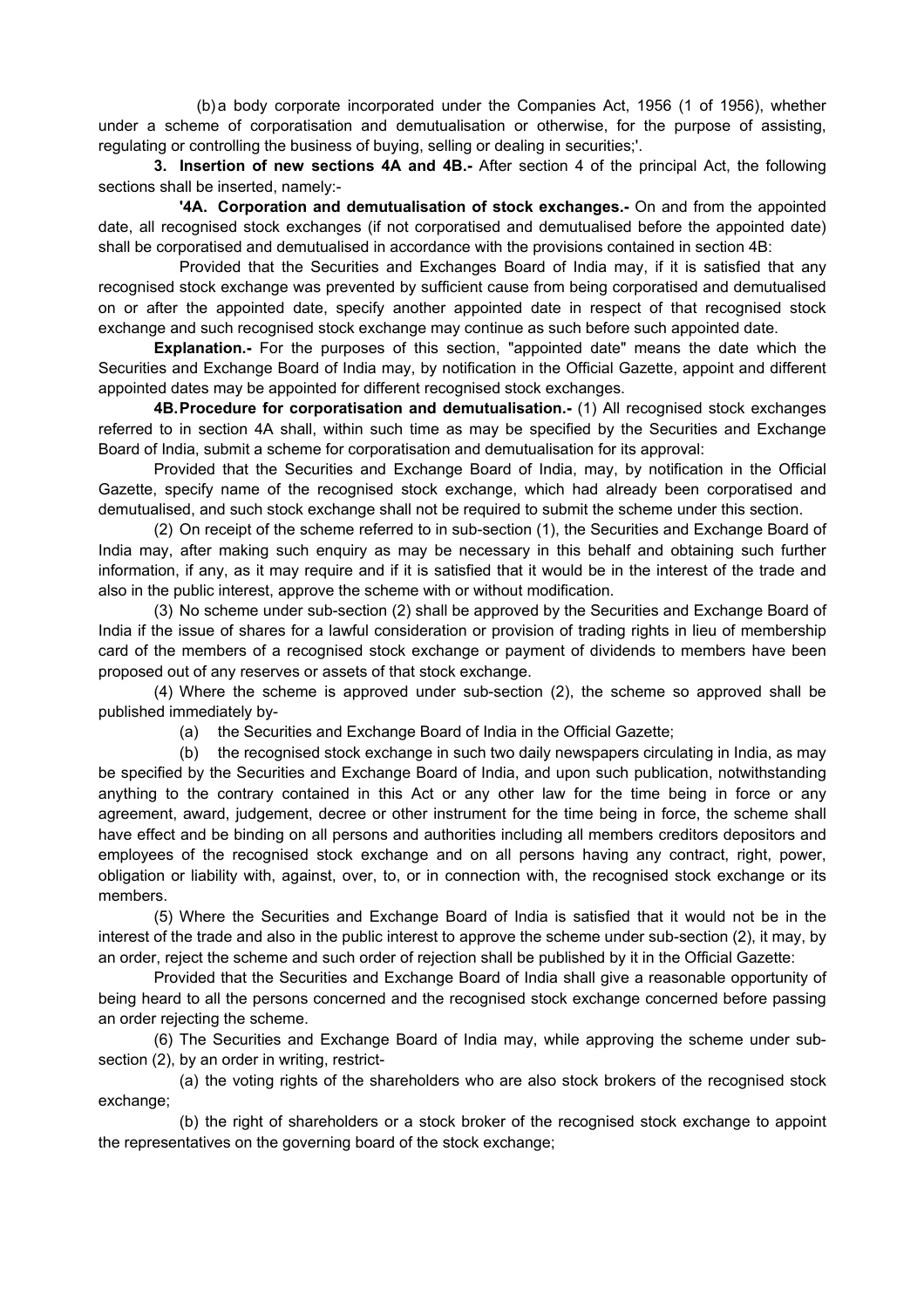(b) a body corporate incorporated under the Companies Act, 1956 (1 of 1956), whether under a scheme of corporatisation and demutualisation or otherwise, for the purpose of assisting, regulating or controlling the business of buying, selling or dealing in securities;'.

**3. Insertion of new sections 4A and 4B.-** After section 4 of the principal Act, the following sections shall be inserted, namely:-

 **'4A. Corporation and demutualisation of stock exchanges.-** On and from the appointed date, all recognised stock exchanges (if not corporatised and demutualised before the appointed date) shall be corporatised and demutualised in accordance with the provisions contained in section 4B:

Provided that the Securities and Exchanges Board of India may, if it is satisfied that any recognised stock exchange was prevented by sufficient cause from being corporatised and demutualised on or after the appointed date, specify another appointed date in respect of that recognised stock exchange and such recognised stock exchange may continue as such before such appointed date.

**Explanation.-** For the purposes of this section, "appointed date" means the date which the Securities and Exchange Board of India may, by notification in the Official Gazette, appoint and different appointed dates may be appointed for different recognised stock exchanges.

**4B. Procedure for corporatisation and demutualisation.-** (1) All recognised stock exchanges referred to in section 4A shall, within such time as may be specified by the Securities and Exchange Board of India, submit a scheme for corporatisation and demutualisation for its approval:

Provided that the Securities and Exchange Board of India, may, by notification in the Official Gazette, specify name of the recognised stock exchange, which had already been corporatised and demutualised, and such stock exchange shall not be required to submit the scheme under this section.

(2) On receipt of the scheme referred to in sub-section (1), the Securities and Exchange Board of India may, after making such enquiry as may be necessary in this behalf and obtaining such further information, if any, as it may require and if it is satisfied that it would be in the interest of the trade and also in the public interest, approve the scheme with or without modification.

(3) No scheme under sub-section (2) shall be approved by the Securities and Exchange Board of India if the issue of shares for a lawful consideration or provision of trading rights in lieu of membership card of the members of a recognised stock exchange or payment of dividends to members have been proposed out of any reserves or assets of that stock exchange.

(4) Where the scheme is approved under sub-section (2), the scheme so approved shall be published immediately by-

(a) the Securities and Exchange Board of India in the Official Gazette;

(b) the recognised stock exchange in such two daily newspapers circulating in India, as may be specified by the Securities and Exchange Board of India, and upon such publication, notwithstanding anything to the contrary contained in this Act or any other law for the time being in force or any agreement, award, judgement, decree or other instrument for the time being in force, the scheme shall have effect and be binding on all persons and authorities including all members creditors depositors and employees of the recognised stock exchange and on all persons having any contract, right, power, obligation or liability with, against, over, to, or in connection with, the recognised stock exchange or its members.

(5) Where the Securities and Exchange Board of India is satisfied that it would not be in the interest of the trade and also in the public interest to approve the scheme under sub-section (2), it may, by an order, reject the scheme and such order of rejection shall be published by it in the Official Gazette:

Provided that the Securities and Exchange Board of India shall give a reasonable opportunity of being heard to all the persons concerned and the recognised stock exchange concerned before passing an order rejecting the scheme.

(6) The Securities and Exchange Board of India may, while approving the scheme under subsection (2), by an order in writing, restrict-

(a) the voting rights of the shareholders who are also stock brokers of the recognised stock exchange;

(b) the right of shareholders or a stock broker of the recognised stock exchange to appoint the representatives on the governing board of the stock exchange;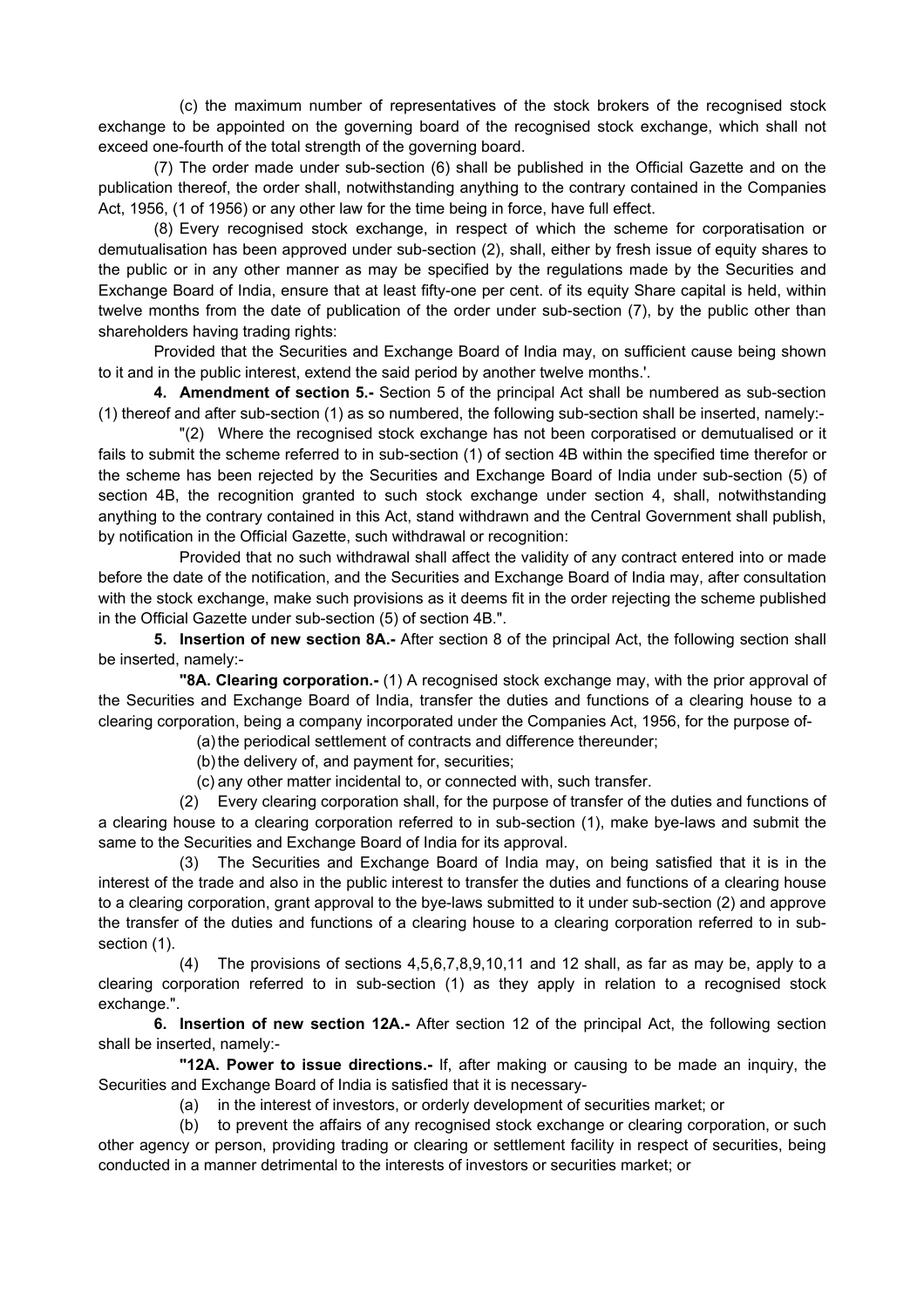(c) the maximum number of representatives of the stock brokers of the recognised stock exchange to be appointed on the governing board of the recognised stock exchange, which shall not exceed one-fourth of the total strength of the governing board.

(7) The order made under sub-section (6) shall be published in the Official Gazette and on the publication thereof, the order shall, notwithstanding anything to the contrary contained in the Companies Act, 1956, (1 of 1956) or any other law for the time being in force, have full effect.

(8) Every recognised stock exchange, in respect of which the scheme for corporatisation or demutualisation has been approved under sub-section (2), shall, either by fresh issue of equity shares to the public or in any other manner as may be specified by the regulations made by the Securities and Exchange Board of India, ensure that at least fifty-one per cent. of its equity Share capital is held, within twelve months from the date of publication of the order under sub-section (7), by the public other than shareholders having trading rights:

Provided that the Securities and Exchange Board of India may, on sufficient cause being shown to it and in the public interest, extend the said period by another twelve months.'.

**4. Amendment of section 5.-** Section 5 of the principal Act shall be numbered as sub-section (1) thereof and after sub-section (1) as so numbered, the following sub-section shall be inserted, namely:-

"(2) Where the recognised stock exchange has not been corporatised or demutualised or it fails to submit the scheme referred to in sub-section (1) of section 4B within the specified time therefor or the scheme has been rejected by the Securities and Exchange Board of India under sub-section (5) of section 4B, the recognition granted to such stock exchange under section 4, shall, notwithstanding anything to the contrary contained in this Act, stand withdrawn and the Central Government shall publish, by notification in the Official Gazette, such withdrawal or recognition:

Provided that no such withdrawal shall affect the validity of any contract entered into or made before the date of the notification, and the Securities and Exchange Board of India may, after consultation with the stock exchange, make such provisions as it deems fit in the order rejecting the scheme published in the Official Gazette under sub-section (5) of section 4B.".

**5. Insertion of new section 8A.-** After section 8 of the principal Act, the following section shall be inserted, namely:-

 **"8A. Clearing corporation.-** (1) A recognised stock exchange may, with the prior approval of the Securities and Exchange Board of India, transfer the duties and functions of a clearing house to a clearing corporation, being a company incorporated under the Companies Act, 1956, for the purpose of-

(a) the periodical settlement of contracts and difference thereunder;

(b) the delivery of, and payment for, securities;

(c) any other matter incidental to, or connected with, such transfer.

(2) Every clearing corporation shall, for the purpose of transfer of the duties and functions of a clearing house to a clearing corporation referred to in sub-section (1), make bye-laws and submit the same to the Securities and Exchange Board of India for its approval.

(3) The Securities and Exchange Board of India may, on being satisfied that it is in the interest of the trade and also in the public interest to transfer the duties and functions of a clearing house to a clearing corporation, grant approval to the bye-laws submitted to it under sub-section (2) and approve the transfer of the duties and functions of a clearing house to a clearing corporation referred to in subsection (1).

(4) The provisions of sections 4,5,6,7,8,9,10,11 and 12 shall, as far as may be, apply to a clearing corporation referred to in sub-section (1) as they apply in relation to a recognised stock exchange.".

**6. Insertion of new section 12A.-** After section 12 of the principal Act, the following section shall be inserted, namely:-

 **"12A. Power to issue directions.-** If, after making or causing to be made an inquiry, the Securities and Exchange Board of India is satisfied that it is necessary-

(a) in the interest of investors, or orderly development of securities market; or

(b) to prevent the affairs of any recognised stock exchange or clearing corporation, or such other agency or person, providing trading or clearing or settlement facility in respect of securities, being conducted in a manner detrimental to the interests of investors or securities market; or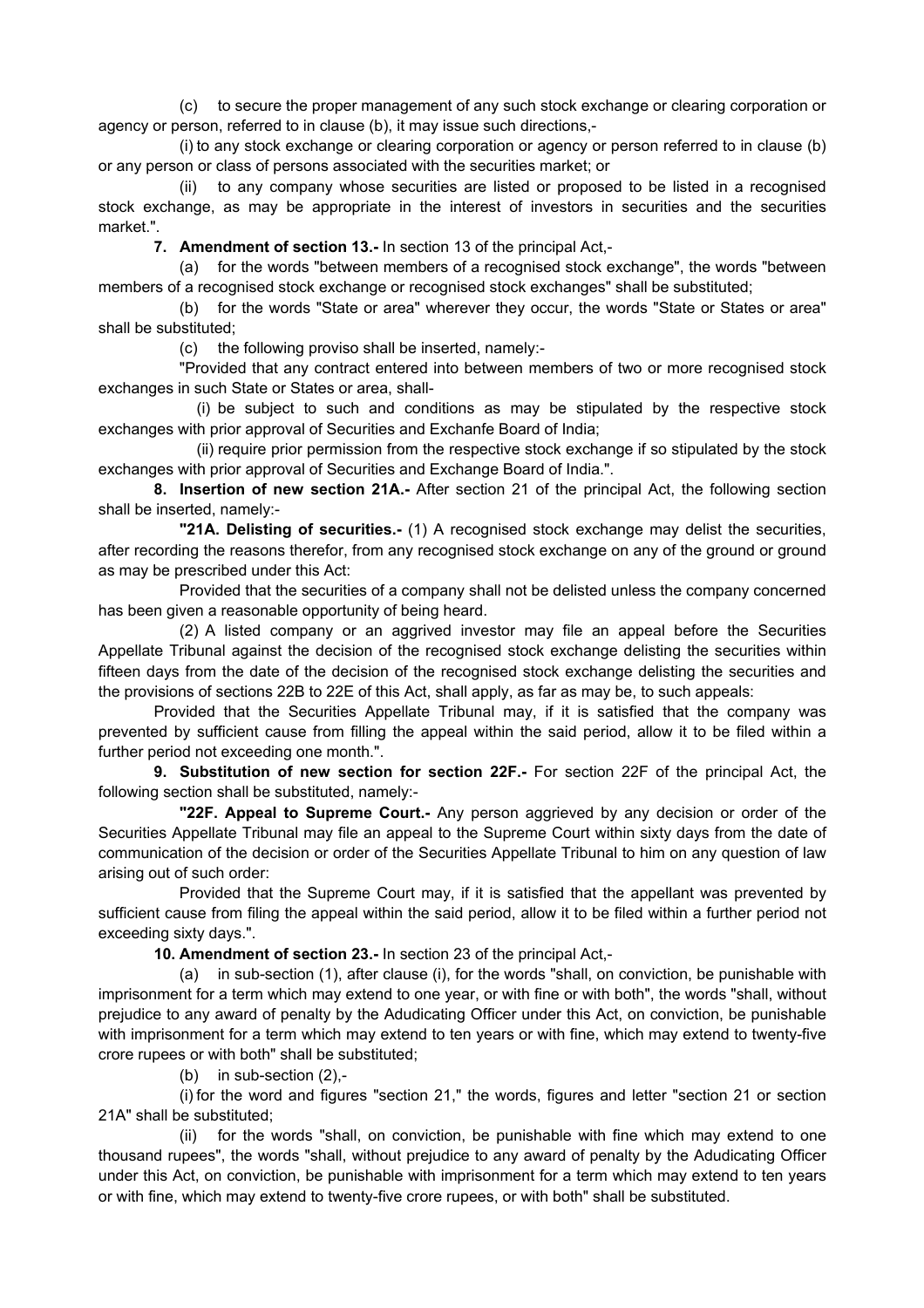(c) to secure the proper management of any such stock exchange or clearing corporation or agency or person, referred to in clause (b), it may issue such directions,-

(i) to any stock exchange or clearing corporation or agency or person referred to in clause (b) or any person or class of persons associated with the securities market; or

(ii) to any company whose securities are listed or proposed to be listed in a recognised stock exchange, as may be appropriate in the interest of investors in securities and the securities market.".

**7. Amendment of section 13.-** In section 13 of the principal Act,-

(a) for the words "between members of a recognised stock exchange", the words "between members of a recognised stock exchange or recognised stock exchanges" shall be substituted;

(b) for the words "State or area" wherever they occur, the words "State or States or area" shall be substituted;

(c) the following proviso shall be inserted, namely:-

"Provided that any contract entered into between members of two or more recognised stock exchanges in such State or States or area, shall-

(i) be subject to such and conditions as may be stipulated by the respective stock exchanges with prior approval of Securities and Exchanfe Board of India;

(ii) require prior permission from the respective stock exchange if so stipulated by the stock exchanges with prior approval of Securities and Exchange Board of India.".

**8. Insertion of new section 21A.-** After section 21 of the principal Act, the following section shall be inserted, namely:-

 **"21A. Delisting of securities.-** (1) A recognised stock exchange may delist the securities, after recording the reasons therefor, from any recognised stock exchange on any of the ground or ground as may be prescribed under this Act:

Provided that the securities of a company shall not be delisted unless the company concerned has been given a reasonable opportunity of being heard.

(2) A listed company or an aggrived investor may file an appeal before the Securities Appellate Tribunal against the decision of the recognised stock exchange delisting the securities within fifteen days from the date of the decision of the recognised stock exchange delisting the securities and the provisions of sections 22B to 22E of this Act, shall apply, as far as may be, to such appeals:

Provided that the Securities Appellate Tribunal may, if it is satisfied that the company was prevented by sufficient cause from filling the appeal within the said period, allow it to be filed within a further period not exceeding one month.".

**9. Substitution of new section for section 22F.-** For section 22F of the principal Act, the following section shall be substituted, namely:-

 **"22F. Appeal to Supreme Court.-** Any person aggrieved by any decision or order of the Securities Appellate Tribunal may file an appeal to the Supreme Court within sixty days from the date of communication of the decision or order of the Securities Appellate Tribunal to him on any question of law arising out of such order:

Provided that the Supreme Court may, if it is satisfied that the appellant was prevented by sufficient cause from filing the appeal within the said period, allow it to be filed within a further period not exceeding sixty days.".

**10. Amendment of section 23.-** In section 23 of the principal Act,-

(a) in sub-section (1), after clause (i), for the words "shall, on conviction, be punishable with imprisonment for a term which may extend to one year, or with fine or with both", the words "shall, without prejudice to any award of penalty by the Adudicating Officer under this Act, on conviction, be punishable with imprisonment for a term which may extend to ten years or with fine, which may extend to twenty-five crore rupees or with both" shall be substituted;

(b) in sub-section (2),-

(i) for the word and figures "section 21," the words, figures and letter "section 21 or section 21A" shall be substituted;

(ii) for the words "shall, on conviction, be punishable with fine which may extend to one thousand rupees", the words "shall, without prejudice to any award of penalty by the Adudicating Officer under this Act, on conviction, be punishable with imprisonment for a term which may extend to ten years or with fine, which may extend to twenty-five crore rupees, or with both" shall be substituted.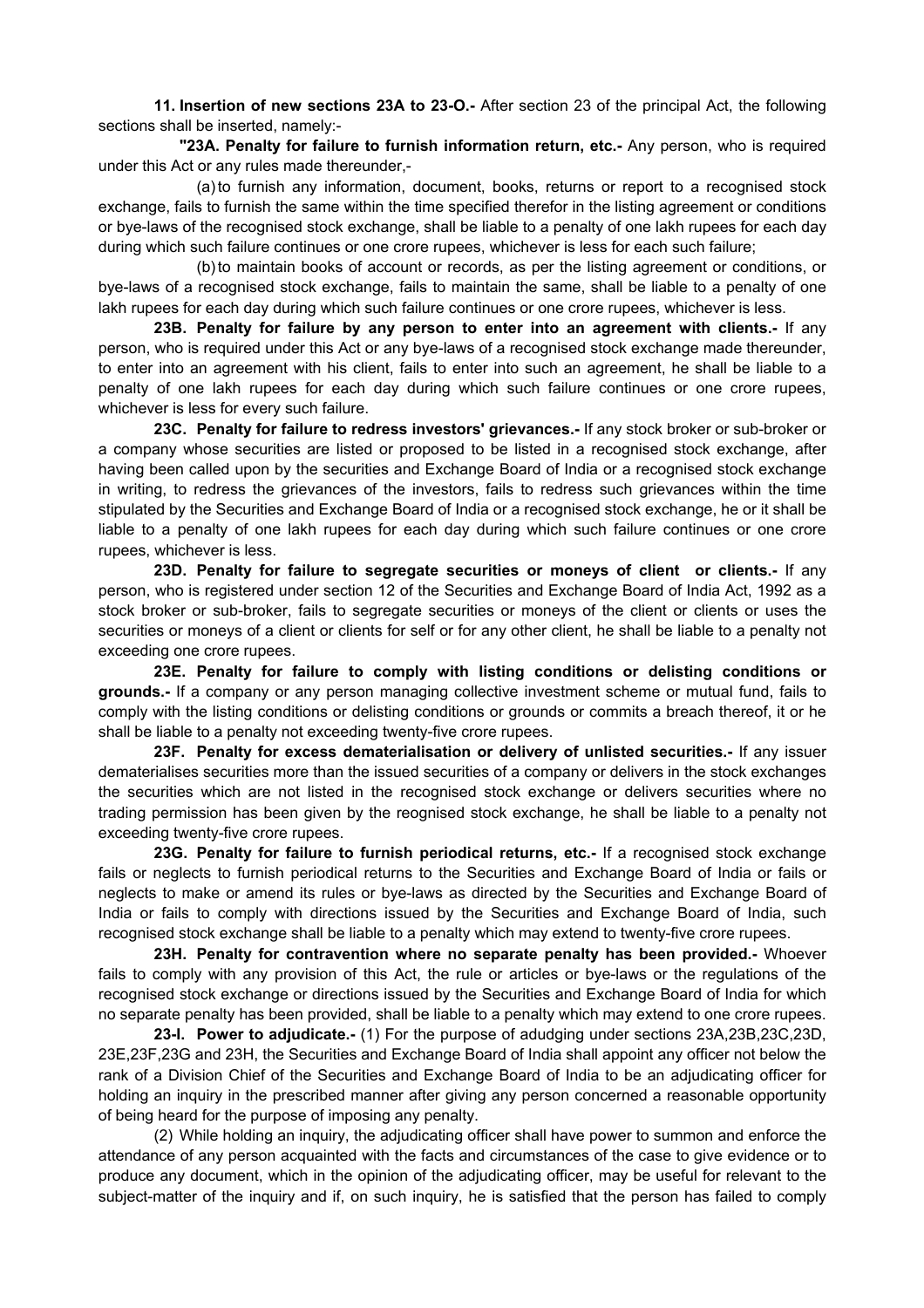**11. Insertion of new sections 23A to 23-O.-** After section 23 of the principal Act, the following sections shall be inserted, namely:-

 **"23A. Penalty for failure to furnish information return, etc.-** Any person, who is required under this Act or any rules made thereunder,-

(a) to furnish any information, document, books, returns or report to a recognised stock exchange, fails to furnish the same within the time specified therefor in the listing agreement or conditions or bye-laws of the recognised stock exchange, shall be liable to a penalty of one lakh rupees for each day during which such failure continues or one crore rupees, whichever is less for each such failure;

(b) to maintain books of account or records, as per the listing agreement or conditions, or bye-laws of a recognised stock exchange, fails to maintain the same, shall be liable to a penalty of one lakh rupees for each day during which such failure continues or one crore rupees, whichever is less.

**23B. Penalty for failure by any person to enter into an agreement with clients.-** If any person, who is required under this Act or any bye-laws of a recognised stock exchange made thereunder, to enter into an agreement with his client, fails to enter into such an agreement, he shall be liable to a penalty of one lakh rupees for each day during which such failure continues or one crore rupees, whichever is less for every such failure.

**23C. Penalty for failure to redress investors' grievances.-** If any stock broker or sub-broker or a company whose securities are listed or proposed to be listed in a recognised stock exchange, after having been called upon by the securities and Exchange Board of India or a recognised stock exchange in writing, to redress the grievances of the investors, fails to redress such grievances within the time stipulated by the Securities and Exchange Board of India or a recognised stock exchange, he or it shall be liable to a penalty of one lakh rupees for each day during which such failure continues or one crore rupees, whichever is less.

**23D. Penalty for failure to segregate securities or moneys of client or clients.-** If any person, who is registered under section 12 of the Securities and Exchange Board of India Act, 1992 as a stock broker or sub-broker, fails to segregate securities or moneys of the client or clients or uses the securities or moneys of a client or clients for self or for any other client, he shall be liable to a penalty not exceeding one crore rupees.

**23E. Penalty for failure to comply with listing conditions or delisting conditions or grounds.-** If a company or any person managing collective investment scheme or mutual fund, fails to comply with the listing conditions or delisting conditions or grounds or commits a breach thereof, it or he shall be liable to a penalty not exceeding twenty-five crore rupees.

**23F. Penalty for excess dematerialisation or delivery of unlisted securities.-** If any issuer dematerialises securities more than the issued securities of a company or delivers in the stock exchanges the securities which are not listed in the recognised stock exchange or delivers securities where no trading permission has been given by the reognised stock exchange, he shall be liable to a penalty not exceeding twenty-five crore rupees.

**23G. Penalty for failure to furnish periodical returns, etc.-** If a recognised stock exchange fails or neglects to furnish periodical returns to the Securities and Exchange Board of India or fails or neglects to make or amend its rules or bye-laws as directed by the Securities and Exchange Board of India or fails to comply with directions issued by the Securities and Exchange Board of India, such recognised stock exchange shall be liable to a penalty which may extend to twenty-five crore rupees.

**23H. Penalty for contravention where no separate penalty has been provided.-** Whoever fails to comply with any provision of this Act, the rule or articles or bye-laws or the regulations of the recognised stock exchange or directions issued by the Securities and Exchange Board of India for which no separate penalty has been provided, shall be liable to a penalty which may extend to one crore rupees.

**23-I. Power to adjudicate.-** (1) For the purpose of adudging under sections 23A,23B,23C,23D, 23E,23F,23G and 23H, the Securities and Exchange Board of India shall appoint any officer not below the rank of a Division Chief of the Securities and Exchange Board of India to be an adjudicating officer for holding an inquiry in the prescribed manner after giving any person concerned a reasonable opportunity of being heard for the purpose of imposing any penalty.

(2) While holding an inquiry, the adjudicating officer shall have power to summon and enforce the attendance of any person acquainted with the facts and circumstances of the case to give evidence or to produce any document, which in the opinion of the adjudicating officer, may be useful for relevant to the subject-matter of the inquiry and if, on such inquiry, he is satisfied that the person has failed to comply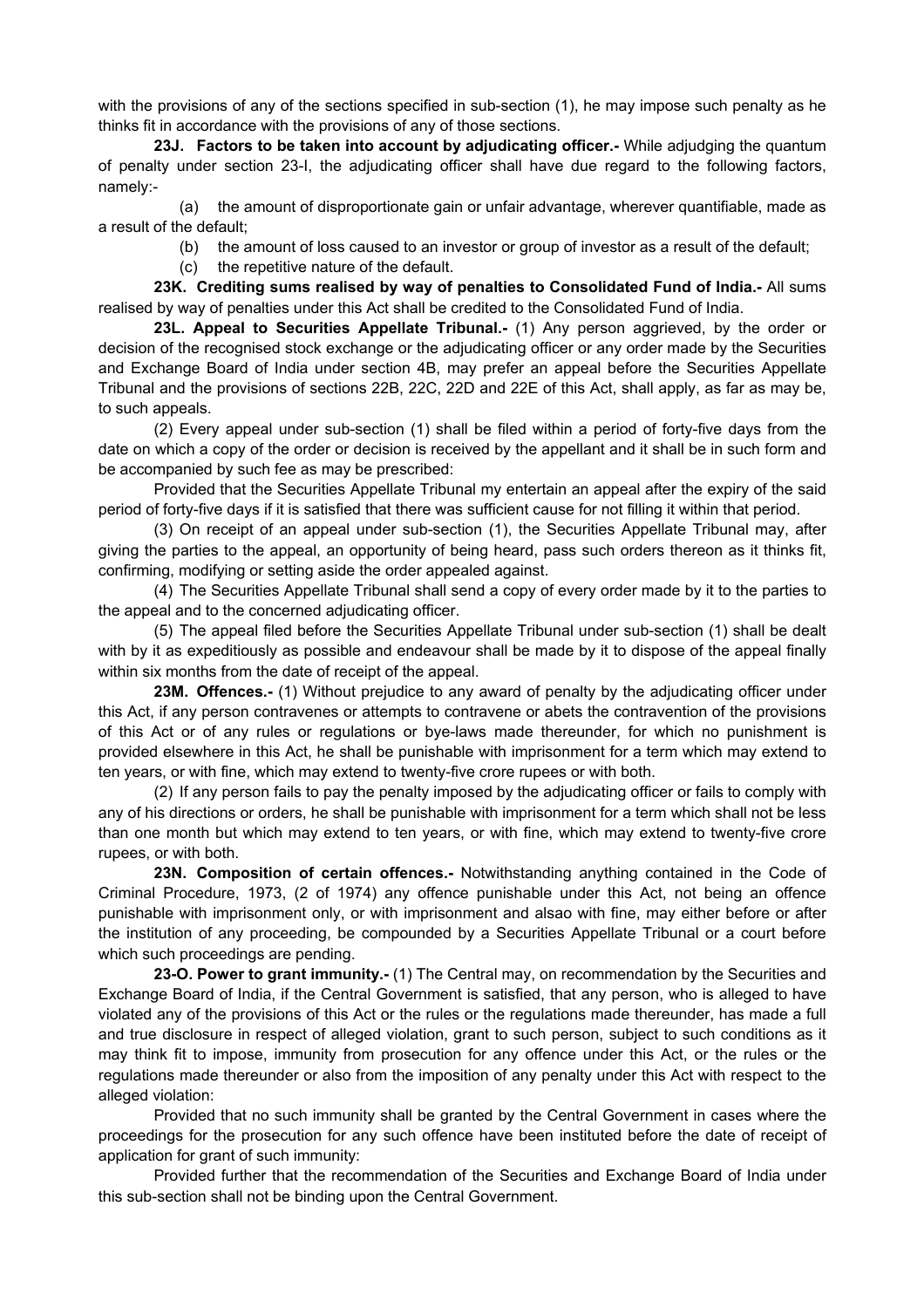with the provisions of any of the sections specified in sub-section (1), he may impose such penalty as he thinks fit in accordance with the provisions of any of those sections.

**23J. Factors to be taken into account by adjudicating officer.-** While adjudging the quantum of penalty under section 23-I, the adjudicating officer shall have due regard to the following factors, namely:-

(a) the amount of disproportionate gain or unfair advantage, wherever quantifiable, made as a result of the default;

- (b) the amount of loss caused to an investor or group of investor as a result of the default;
- (c) the repetitive nature of the default.

**23K. Crediting sums realised by way of penalties to Consolidated Fund of India.-** All sums realised by way of penalties under this Act shall be credited to the Consolidated Fund of India.

**23L. Appeal to Securities Appellate Tribunal.-** (1) Any person aggrieved, by the order or decision of the recognised stock exchange or the adjudicating officer or any order made by the Securities and Exchange Board of India under section 4B, may prefer an appeal before the Securities Appellate Tribunal and the provisions of sections 22B, 22C, 22D and 22E of this Act, shall apply, as far as may be, to such appeals.

(2) Every appeal under sub-section (1) shall be filed within a period of forty-five days from the date on which a copy of the order or decision is received by the appellant and it shall be in such form and be accompanied by such fee as may be prescribed:

Provided that the Securities Appellate Tribunal my entertain an appeal after the expiry of the said period of forty-five days if it is satisfied that there was sufficient cause for not filling it within that period.

(3) On receipt of an appeal under sub-section (1), the Securities Appellate Tribunal may, after giving the parties to the appeal, an opportunity of being heard, pass such orders thereon as it thinks fit, confirming, modifying or setting aside the order appealed against.

(4) The Securities Appellate Tribunal shall send a copy of every order made by it to the parties to the appeal and to the concerned adjudicating officer.

(5) The appeal filed before the Securities Appellate Tribunal under sub-section (1) shall be dealt with by it as expeditiously as possible and endeavour shall be made by it to dispose of the appeal finally within six months from the date of receipt of the appeal.

**23M. Offences.-** (1) Without prejudice to any award of penalty by the adjudicating officer under this Act, if any person contravenes or attempts to contravene or abets the contravention of the provisions of this Act or of any rules or regulations or bye-laws made thereunder, for which no punishment is provided elsewhere in this Act, he shall be punishable with imprisonment for a term which may extend to ten years, or with fine, which may extend to twenty-five crore rupees or with both.

(2) If any person fails to pay the penalty imposed by the adjudicating officer or fails to comply with any of his directions or orders, he shall be punishable with imprisonment for a term which shall not be less than one month but which may extend to ten years, or with fine, which may extend to twenty-five crore rupees, or with both.

**23N. Composition of certain offences.-** Notwithstanding anything contained in the Code of Criminal Procedure, 1973, (2 of 1974) any offence punishable under this Act, not being an offence punishable with imprisonment only, or with imprisonment and alsao with fine, may either before or after the institution of any proceeding, be compounded by a Securities Appellate Tribunal or a court before which such proceedings are pending.

**23-O. Power to grant immunity.-** (1) The Central may, on recommendation by the Securities and Exchange Board of India, if the Central Government is satisfied, that any person, who is alleged to have violated any of the provisions of this Act or the rules or the regulations made thereunder, has made a full and true disclosure in respect of alleged violation, grant to such person, subject to such conditions as it may think fit to impose, immunity from prosecution for any offence under this Act, or the rules or the regulations made thereunder or also from the imposition of any penalty under this Act with respect to the alleged violation:

Provided that no such immunity shall be granted by the Central Government in cases where the proceedings for the prosecution for any such offence have been instituted before the date of receipt of application for grant of such immunity:

Provided further that the recommendation of the Securities and Exchange Board of India under this sub-section shall not be binding upon the Central Government.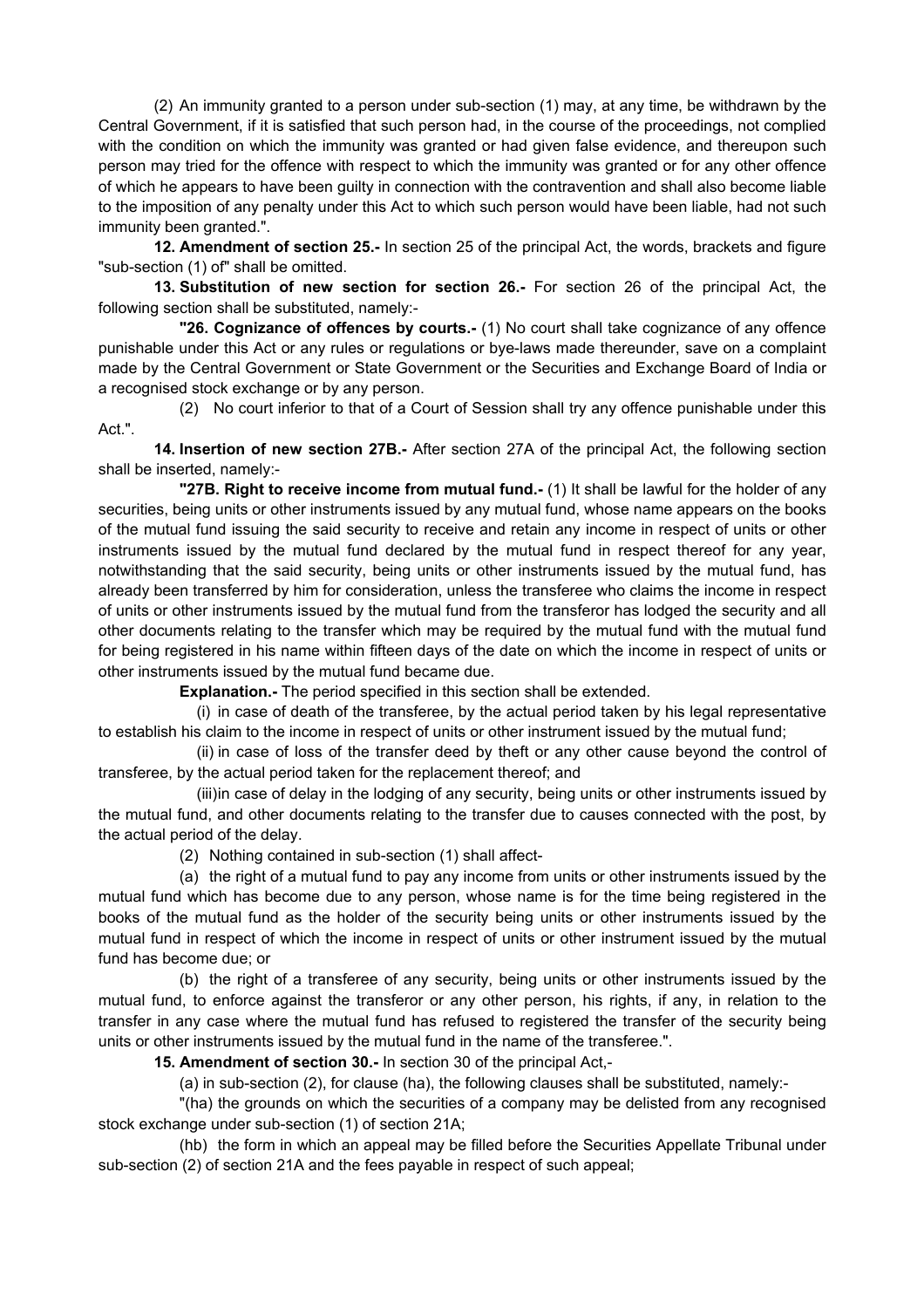(2) An immunity granted to a person under sub-section (1) may, at any time, be withdrawn by the Central Government, if it is satisfied that such person had, in the course of the proceedings, not complied with the condition on which the immunity was granted or had given false evidence, and thereupon such person may tried for the offence with respect to which the immunity was granted or for any other offence of which he appears to have been guilty in connection with the contravention and shall also become liable to the imposition of any penalty under this Act to which such person would have been liable, had not such immunity been granted.".

**12. Amendment of section 25.-** In section 25 of the principal Act, the words, brackets and figure "sub-section (1) of" shall be omitted.

**13. Substitution of new section for section 26.-** For section 26 of the principal Act, the following section shall be substituted, namely:-

 **"26. Cognizance of offences by courts.-** (1) No court shall take cognizance of any offence punishable under this Act or any rules or regulations or bye-laws made thereunder, save on a complaint made by the Central Government or State Government or the Securities and Exchange Board of India or a recognised stock exchange or by any person.

(2) No court inferior to that of a Court of Session shall try any offence punishable under this Act.".

**14. Insertion of new section 27B.-** After section 27A of the principal Act, the following section shall be inserted, namely:-

 **"27B. Right to receive income from mutual fund.-** (1) It shall be lawful for the holder of any securities, being units or other instruments issued by any mutual fund, whose name appears on the books of the mutual fund issuing the said security to receive and retain any income in respect of units or other instruments issued by the mutual fund declared by the mutual fund in respect thereof for any year, notwithstanding that the said security, being units or other instruments issued by the mutual fund, has already been transferred by him for consideration, unless the transferee who claims the income in respect of units or other instruments issued by the mutual fund from the transferor has lodged the security and all other documents relating to the transfer which may be required by the mutual fund with the mutual fund for being registered in his name within fifteen days of the date on which the income in respect of units or other instruments issued by the mutual fund became due.

**Explanation.-** The period specified in this section shall be extended.

(i) in case of death of the transferee, by the actual period taken by his legal representative to establish his claim to the income in respect of units or other instrument issued by the mutual fund;

(ii) in case of loss of the transfer deed by theft or any other cause beyond the control of transferee, by the actual period taken for the replacement thereof; and

(iii) in case of delay in the lodging of any security, being units or other instruments issued by the mutual fund, and other documents relating to the transfer due to causes connected with the post, by the actual period of the delay.

(2) Nothing contained in sub-section (1) shall affect-

(a) the right of a mutual fund to pay any income from units or other instruments issued by the mutual fund which has become due to any person, whose name is for the time being registered in the books of the mutual fund as the holder of the security being units or other instruments issued by the mutual fund in respect of which the income in respect of units or other instrument issued by the mutual fund has become due; or

(b) the right of a transferee of any security, being units or other instruments issued by the mutual fund, to enforce against the transferor or any other person, his rights, if any, in relation to the transfer in any case where the mutual fund has refused to registered the transfer of the security being units or other instruments issued by the mutual fund in the name of the transferee.".

**15. Amendment of section 30.-** In section 30 of the principal Act,-

(a) in sub-section (2), for clause (ha), the following clauses shall be substituted, namely:-

"(ha) the grounds on which the securities of a company may be delisted from any recognised stock exchange under sub-section (1) of section 21A;

(hb) the form in which an appeal may be filled before the Securities Appellate Tribunal under sub-section (2) of section 21A and the fees payable in respect of such appeal;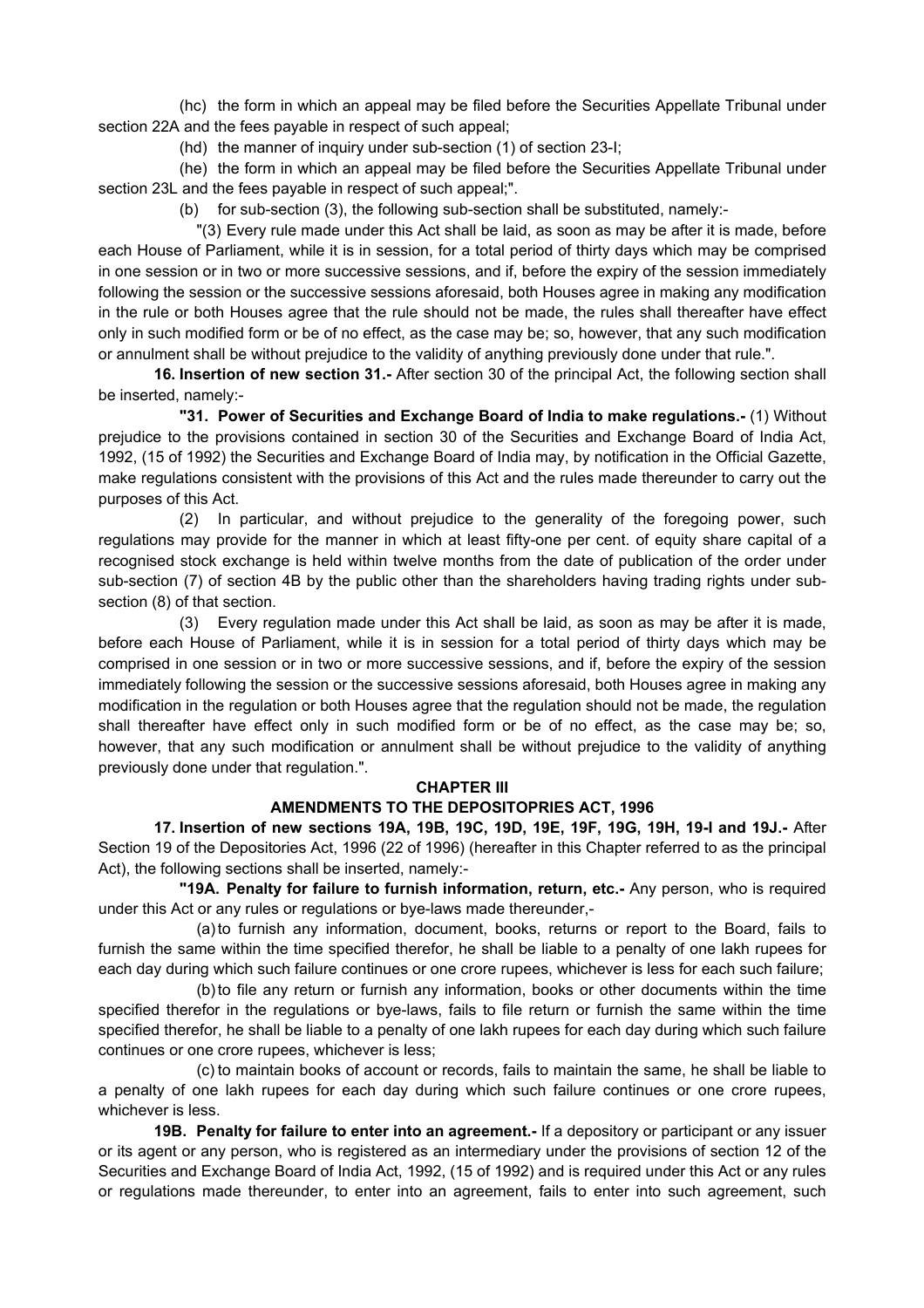(hc) the form in which an appeal may be filed before the Securities Appellate Tribunal under section 22A and the fees payable in respect of such appeal;

(hd) the manner of inquiry under sub-section (1) of section 23-I;

(he) the form in which an appeal may be filed before the Securities Appellate Tribunal under section 23L and the fees payable in respect of such appeal;".

(b) for sub-section (3), the following sub-section shall be substituted, namely:-

"(3) Every rule made under this Act shall be laid, as soon as may be after it is made, before each House of Parliament, while it is in session, for a total period of thirty days which may be comprised in one session or in two or more successive sessions, and if, before the expiry of the session immediately following the session or the successive sessions aforesaid, both Houses agree in making any modification in the rule or both Houses agree that the rule should not be made, the rules shall thereafter have effect only in such modified form or be of no effect, as the case may be; so, however, that any such modification or annulment shall be without prejudice to the validity of anything previously done under that rule.".

**16. Insertion of new section 31.-** After section 30 of the principal Act, the following section shall be inserted, namely:-

 **"31. Power of Securities and Exchange Board of India to make regulations.-** (1) Without prejudice to the provisions contained in section 30 of the Securities and Exchange Board of India Act, 1992, (15 of 1992) the Securities and Exchange Board of India may, by notification in the Official Gazette, make regulations consistent with the provisions of this Act and the rules made thereunder to carry out the purposes of this Act.

(2) In particular, and without prejudice to the generality of the foregoing power, such regulations may provide for the manner in which at least fifty-one per cent. of equity share capital of a recognised stock exchange is held within twelve months from the date of publication of the order under sub-section (7) of section 4B by the public other than the shareholders having trading rights under subsection (8) of that section.

(3) Every regulation made under this Act shall be laid, as soon as may be after it is made, before each House of Parliament, while it is in session for a total period of thirty days which may be comprised in one session or in two or more successive sessions, and if, before the expiry of the session immediately following the session or the successive sessions aforesaid, both Houses agree in making any modification in the regulation or both Houses agree that the regulation should not be made, the regulation shall thereafter have effect only in such modified form or be of no effect, as the case may be; so, however, that any such modification or annulment shall be without prejudice to the validity of anything previously done under that regulation.".

#### **CHAPTER III**

## **AMENDMENTS TO THE DEPOSITOPRIES ACT, 1996**

**17. Insertion of new sections 19A, 19B, 19C, 19D, 19E, 19F, 19G, 19H, 19-I and 19J.-** After Section 19 of the Depositories Act, 1996 (22 of 1996) (hereafter in this Chapter referred to as the principal Act), the following sections shall be inserted, namely:-

 **"19A. Penalty for failure to furnish information, return, etc.-** Any person, who is required under this Act or any rules or regulations or bye-laws made thereunder,-

(a) to furnish any information, document, books, returns or report to the Board, fails to furnish the same within the time specified therefor, he shall be liable to a penalty of one lakh rupees for each day during which such failure continues or one crore rupees, whichever is less for each such failure;

(b) to file any return or furnish any information, books or other documents within the time specified therefor in the regulations or bye-laws, fails to file return or furnish the same within the time specified therefor, he shall be liable to a penalty of one lakh rupees for each day during which such failure continues or one crore rupees, whichever is less;

(c) to maintain books of account or records, fails to maintain the same, he shall be liable to a penalty of one lakh rupees for each day during which such failure continues or one crore rupees, whichever is less.

**19B. Penalty for failure to enter into an agreement.-** If a depository or participant or any issuer or its agent or any person, who is registered as an intermediary under the provisions of section 12 of the Securities and Exchange Board of India Act, 1992, (15 of 1992) and is required under this Act or any rules or regulations made thereunder, to enter into an agreement, fails to enter into such agreement, such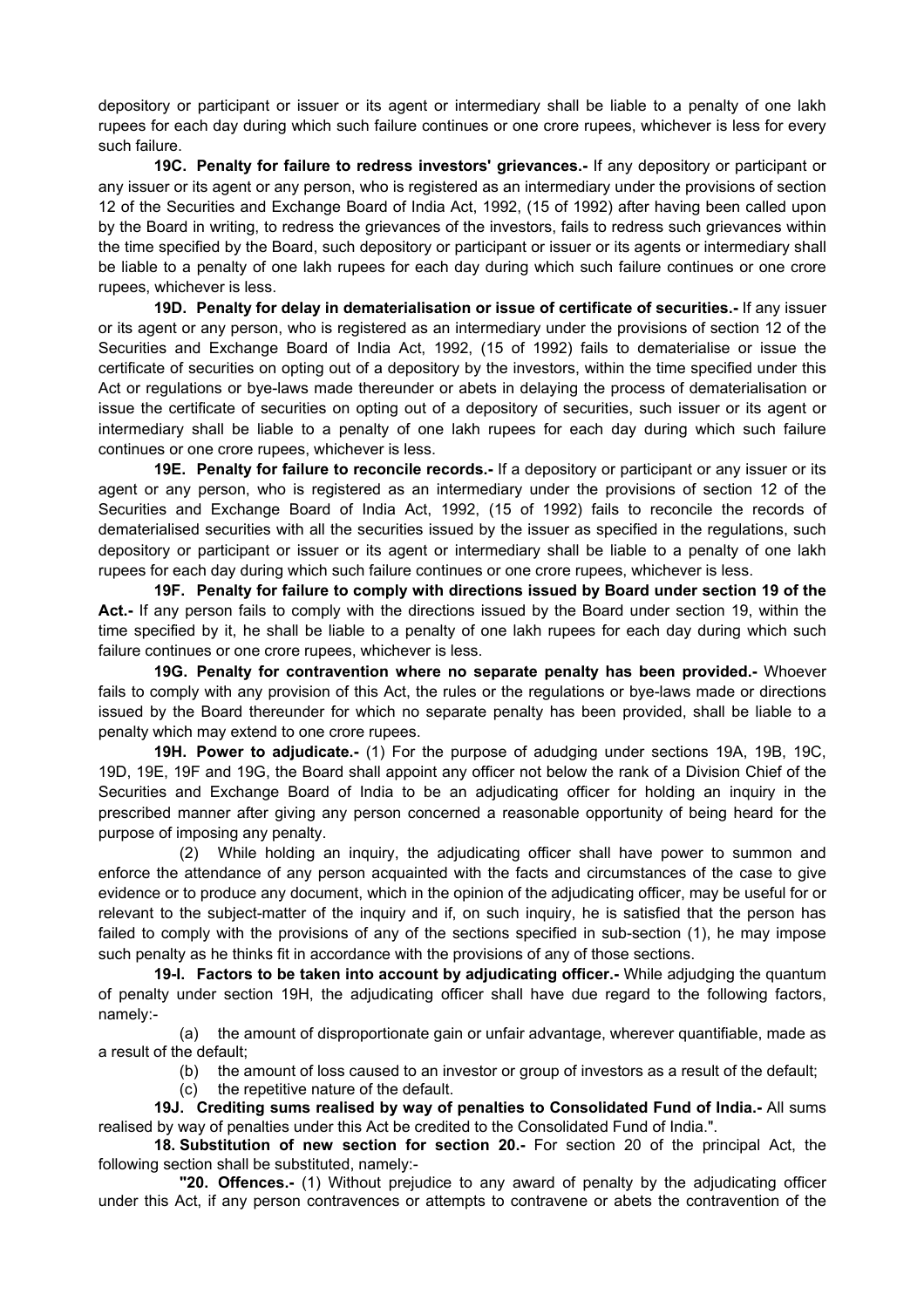depository or participant or issuer or its agent or intermediary shall be liable to a penalty of one lakh rupees for each day during which such failure continues or one crore rupees, whichever is less for every such failure.

**19C. Penalty for failure to redress investors' grievances.-** If any depository or participant or any issuer or its agent or any person, who is registered as an intermediary under the provisions of section 12 of the Securities and Exchange Board of India Act, 1992, (15 of 1992) after having been called upon by the Board in writing, to redress the grievances of the investors, fails to redress such grievances within the time specified by the Board, such depository or participant or issuer or its agents or intermediary shall be liable to a penalty of one lakh rupees for each day during which such failure continues or one crore rupees, whichever is less.

**19D. Penalty for delay in dematerialisation or issue of certificate of securities.-** If any issuer or its agent or any person, who is registered as an intermediary under the provisions of section 12 of the Securities and Exchange Board of India Act, 1992, (15 of 1992) fails to dematerialise or issue the certificate of securities on opting out of a depository by the investors, within the time specified under this Act or regulations or bye-laws made thereunder or abets in delaying the process of dematerialisation or issue the certificate of securities on opting out of a depository of securities, such issuer or its agent or intermediary shall be liable to a penalty of one lakh rupees for each day during which such failure continues or one crore rupees, whichever is less.

**19E. Penalty for failure to reconcile records.-** If a depository or participant or any issuer or its agent or any person, who is registered as an intermediary under the provisions of section 12 of the Securities and Exchange Board of India Act, 1992, (15 of 1992) fails to reconcile the records of dematerialised securities with all the securities issued by the issuer as specified in the regulations, such depository or participant or issuer or its agent or intermediary shall be liable to a penalty of one lakh rupees for each day during which such failure continues or one crore rupees, whichever is less.

**19F. Penalty for failure to comply with directions issued by Board under section 19 of the Act.-** If any person fails to comply with the directions issued by the Board under section 19, within the time specified by it, he shall be liable to a penalty of one lakh rupees for each day during which such failure continues or one crore rupees, whichever is less.

**19G. Penalty for contravention where no separate penalty has been provided.-** Whoever fails to comply with any provision of this Act, the rules or the regulations or bye-laws made or directions issued by the Board thereunder for which no separate penalty has been provided, shall be liable to a penalty which may extend to one crore rupees.

**19H. Power to adjudicate.-** (1) For the purpose of adudging under sections 19A, 19B, 19C, 19D, 19E, 19F and 19G, the Board shall appoint any officer not below the rank of a Division Chief of the Securities and Exchange Board of India to be an adjudicating officer for holding an inquiry in the prescribed manner after giving any person concerned a reasonable opportunity of being heard for the purpose of imposing any penalty.

(2) While holding an inquiry, the adjudicating officer shall have power to summon and enforce the attendance of any person acquainted with the facts and circumstances of the case to give evidence or to produce any document, which in the opinion of the adjudicating officer, may be useful for or relevant to the subject-matter of the inquiry and if, on such inquiry, he is satisfied that the person has failed to comply with the provisions of any of the sections specified in sub-section (1), he may impose such penalty as he thinks fit in accordance with the provisions of any of those sections.

**19-I. Factors to be taken into account by adjudicating officer.-** While adjudging the quantum of penalty under section 19H, the adjudicating officer shall have due regard to the following factors, namely:-

(a) the amount of disproportionate gain or unfair advantage, wherever quantifiable, made as a result of the default;

(b) the amount of loss caused to an investor or group of investors as a result of the default;

(c) the repetitive nature of the default.

**19J. Crediting sums realised by way of penalties to Consolidated Fund of India.-** All sums realised by way of penalties under this Act be credited to the Consolidated Fund of India.".

**18. Substitution of new section for section 20.-** For section 20 of the principal Act, the following section shall be substituted, namely:-

 **"20. Offences.-** (1) Without prejudice to any award of penalty by the adjudicating officer under this Act, if any person contravences or attempts to contravene or abets the contravention of the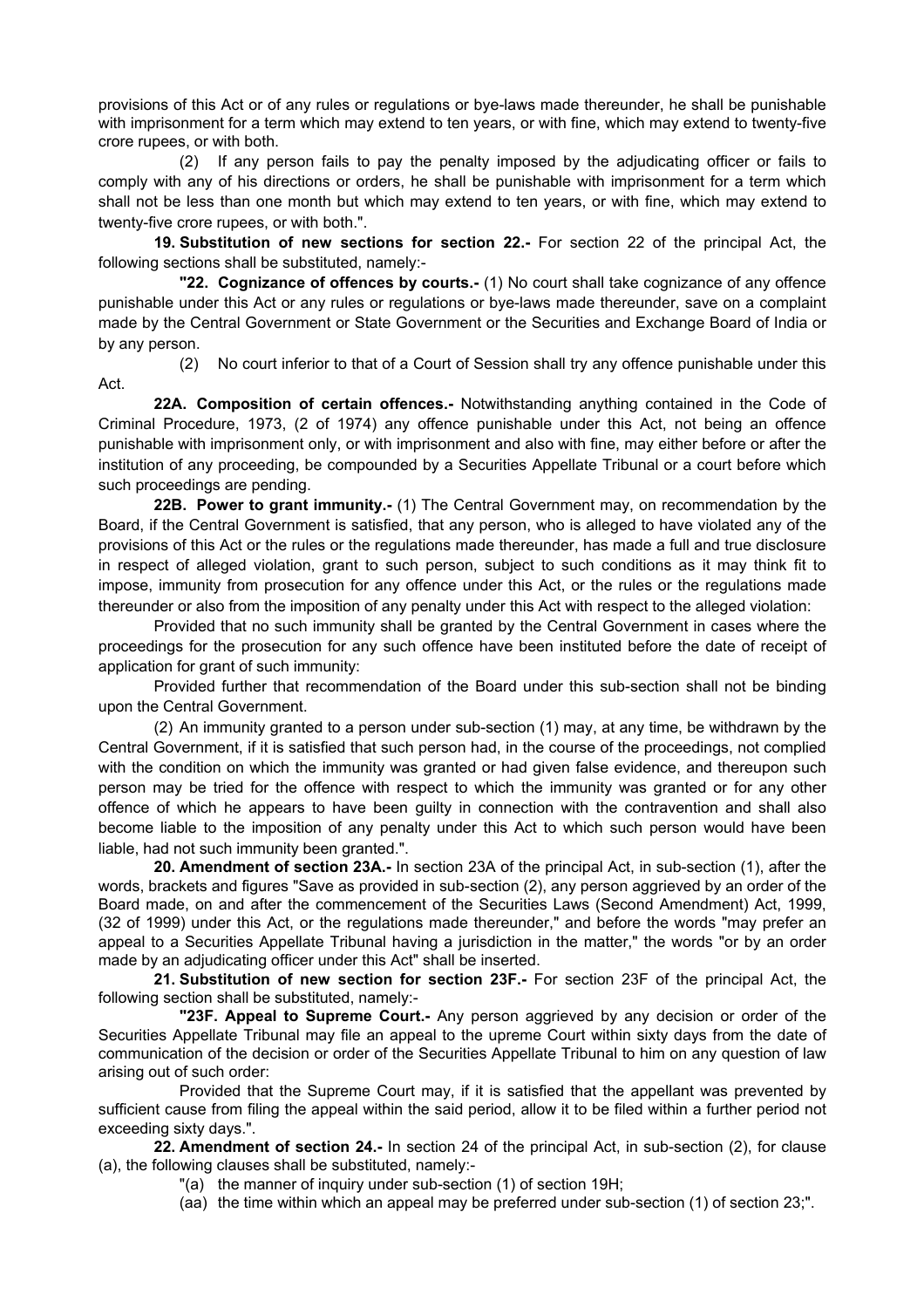provisions of this Act or of any rules or regulations or bye-laws made thereunder, he shall be punishable with imprisonment for a term which may extend to ten years, or with fine, which may extend to twenty-five crore rupees, or with both.

(2) If any person fails to pay the penalty imposed by the adjudicating officer or fails to comply with any of his directions or orders, he shall be punishable with imprisonment for a term which shall not be less than one month but which may extend to ten years, or with fine, which may extend to twenty-five crore rupees, or with both.".

**19. Substitution of new sections for section 22.-** For section 22 of the principal Act, the following sections shall be substituted, namely:-

 **"22. Cognizance of offences by courts.-** (1) No court shall take cognizance of any offence punishable under this Act or any rules or regulations or bye-laws made thereunder, save on a complaint made by the Central Government or State Government or the Securities and Exchange Board of India or by any person.

Act.

(2) No court inferior to that of a Court of Session shall try any offence punishable under this

**22A. Composition of certain offences.-** Notwithstanding anything contained in the Code of Criminal Procedure, 1973, (2 of 1974) any offence punishable under this Act, not being an offence punishable with imprisonment only, or with imprisonment and also with fine, may either before or after the institution of any proceeding, be compounded by a Securities Appellate Tribunal or a court before which such proceedings are pending.

**22B. Power to grant immunity.-** (1) The Central Government may, on recommendation by the Board, if the Central Government is satisfied, that any person, who is alleged to have violated any of the provisions of this Act or the rules or the regulations made thereunder, has made a full and true disclosure in respect of alleged violation, grant to such person, subject to such conditions as it may think fit to impose, immunity from prosecution for any offence under this Act, or the rules or the regulations made thereunder or also from the imposition of any penalty under this Act with respect to the alleged violation:

Provided that no such immunity shall be granted by the Central Government in cases where the proceedings for the prosecution for any such offence have been instituted before the date of receipt of application for grant of such immunity:

Provided further that recommendation of the Board under this sub-section shall not be binding upon the Central Government.

(2) An immunity granted to a person under sub-section (1) may, at any time, be withdrawn by the Central Government, if it is satisfied that such person had, in the course of the proceedings, not complied with the condition on which the immunity was granted or had given false evidence, and thereupon such person may be tried for the offence with respect to which the immunity was granted or for any other offence of which he appears to have been guilty in connection with the contravention and shall also become liable to the imposition of any penalty under this Act to which such person would have been liable, had not such immunity been granted.".

**20. Amendment of section 23A.-** In section 23A of the principal Act, in sub-section (1), after the words, brackets and figures "Save as provided in sub-section (2), any person aggrieved by an order of the Board made, on and after the commencement of the Securities Laws (Second Amendment) Act, 1999, (32 of 1999) under this Act, or the regulations made thereunder," and before the words "may prefer an appeal to a Securities Appellate Tribunal having a jurisdiction in the matter," the words "or by an order made by an adjudicating officer under this Act" shall be inserted.

**21. Substitution of new section for section 23F.-** For section 23F of the principal Act, the following section shall be substituted, namely:-

 **"23F. Appeal to Supreme Court.-** Any person aggrieved by any decision or order of the Securities Appellate Tribunal may file an appeal to the upreme Court within sixty days from the date of communication of the decision or order of the Securities Appellate Tribunal to him on any question of law arising out of such order:

Provided that the Supreme Court may, if it is satisfied that the appellant was prevented by sufficient cause from filing the appeal within the said period, allow it to be filed within a further period not exceeding sixty days.".

**22. Amendment of section 24.-** In section 24 of the principal Act, in sub-section (2), for clause (a), the following clauses shall be substituted, namely:-

- "(a) the manner of inquiry under sub-section (1) of section 19H;
- (aa) the time within which an appeal may be preferred under sub-section (1) of section 23;".